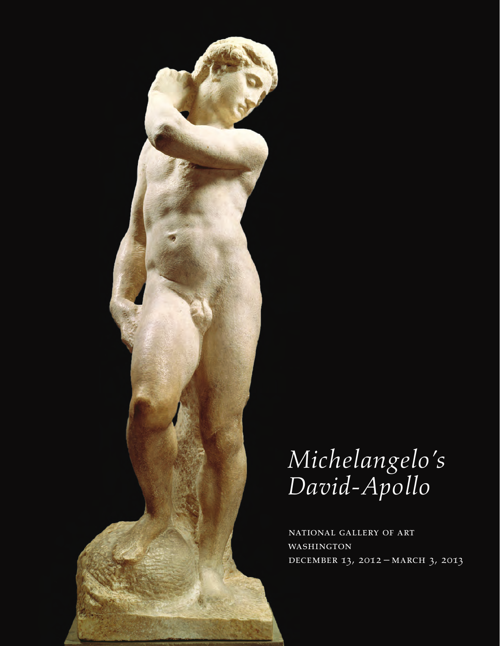

*Michelangelo's David-Apollo*

National Gallery of Art **WASHINGTON** DECEMBER 13, 2012 – MARCH 3, 2013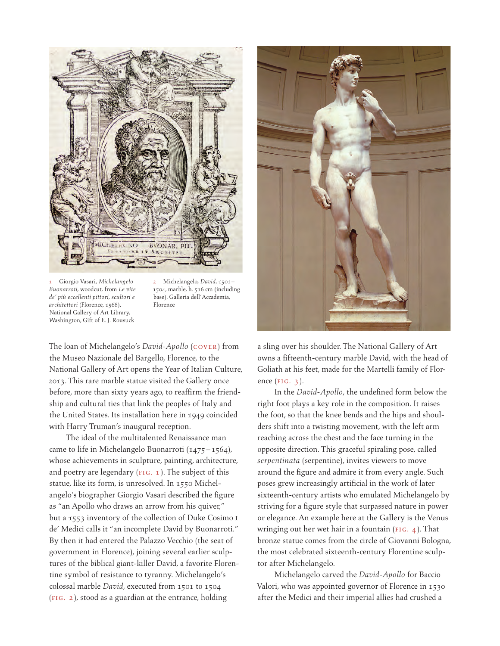

1 Giorgio Vasari, *Michelangelo Buonarroti*, woodcut, from *Le vite de' più eccellenti pittori, scultori e architettori* (Florence, 1568). National Gallery of Art Library, Washington, Gift of E. J. Rousuck

2 Michelangelo, *David*, 1501 – 1504, marble, h. 516 cm (including base). Galleria dell'Accademia, Florence

The loan of Michelangelo's *David-Apollo* (cover) from the Museo Nazionale del Bargello, Florence, to the National Gallery of Art opens the Year of Italian Culture, 2013. This rare marble statue visited the Gallery once before, more than sixty years ago, to reaffirm the friendship and cultural ties that link the peoples of Italy and the United States. Its installation here in 1949 coincided with Harry Truman's inaugural reception.

The ideal of the multitalented Renaissance man came to life in Michelangelo Buonarroti (1475 – 1564), whose achievements in sculpture, painting, architecture, and poetry are legendary  $(FIG. 1)$ . The subject of this statue, like its form, is unresolved. In 1550 Michelangelo's biographer Giorgio Vasari described the figure as "an Apollo who draws an arrow from his quiver," but a 1553 inventory of the collection of Duke Cosimo I de' Medici calls it "an incomplete David by Buonarroti." By then it had entered the Palazzo Vecchio (the seat of government in Florence), joining several earlier sculptures of the biblical giant-killer David, a favorite Florentine symbol of resistance to tyranny. Michelangelo's colossal marble *David*, executed from 1501 to 1504 (fig. 2), stood as a guardian at the entrance, holding



a sling over his shoulder. The National Gallery of Art owns a fifteenth-century marble David, with the head of Goliath at his feet, made for the Martelli family of Florence  $(FIG. 3)$ .

In the *David-Apollo*, the undefined form below the right foot plays a key role in the composition. It raises the foot, so that the knee bends and the hips and shoulders shift into a twisting movement, with the left arm reaching across the chest and the face turning in the opposite direction. This graceful spiraling pose, called *serpentinata* (serpentine), invites viewers to move around the figure and admire it from every angle. Such poses grew increasingly artificial in the work of later sixteenth-century artists who emulated Michelangelo by striving for a figure style that surpassed nature in power or elegance. An example here at the Gallery is the Venus wringing out her wet hair in a fountain ( $FIG. 4$ ). That bronze statue comes from the circle of Giovanni Bologna, the most celebrated sixteenth-century Florentine sculptor after Michelangelo.

Michelangelo carved the *David-Apollo* for Baccio Valori, who was appointed governor of Florence in 1530 after the Medici and their imperial allies had crushed a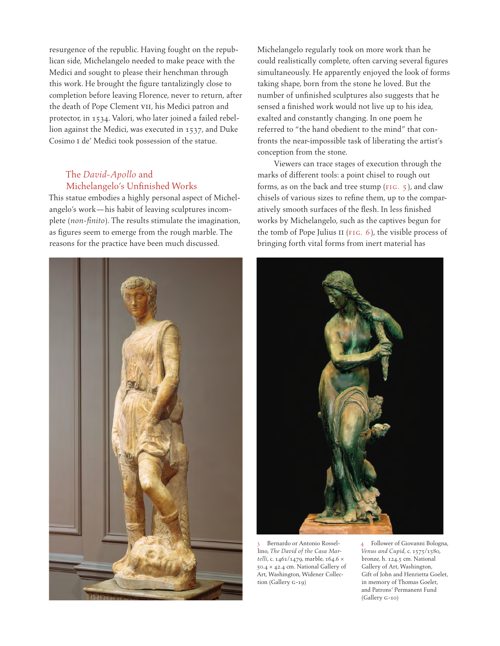resurgence of the republic. Having fought on the republican side, Michelangelo needed to make peace with the Medici and sought to please their henchman through this work. He brought the figure tantalizingly close to completion before leaving Florence, never to return, after the death of Pope Clement VII, his Medici patron and protector, in 1534. Valori, who later joined a failed rebellion against the Medici, was executed in 1537, and Duke Cosimo I de' Medici took possession of the statue.

## The *David-Apollo* and Michelangelo's Unfinished Works

This statue embodies a highly personal aspect of Michelangelo's work—his habit of leaving sculptures incomplete (*non-finito*). The results stimulate the imagination, as figures seem to emerge from the rough marble. The reasons for the practice have been much discussed.



Michelangelo regularly took on more work than he could realistically complete, often carving several figures simultaneously. He apparently enjoyed the look of forms taking shape, born from the stone he loved. But the number of unfinished sculptures also suggests that he sensed a finished work would not live up to his idea, exalted and constantly changing. In one poem he referred to "the hand obedient to the mind" that confronts the near-impossible task of liberating the artist's conception from the stone.

Viewers can trace stages of execution through the marks of different tools: a point chisel to rough out forms, as on the back and tree stump ( $FIG. 5$ ), and claw chisels of various sizes to refine them, up to the comparatively smooth surfaces of the flesh. In less finished works by Michelangelo, such as the captives begun for the tomb of Pope Julius II ( $FIG. 6$ ), the visible process of bringing forth vital forms from inert material has



3 Bernardo or Antonio Rossellino, *The David of the Casa Martelli*, c. 1461/1479, marble, 164.6 × 50.4 × 42.4 cm. National Gallery of Art, Washington, Widener Collection (Gallery G-19)

4 Follower of Giovanni Bologna, *Venus and Cupid*, c. 1575/1580, bronze, h. 124.5 cm. National Gallery of Art, Washington, Gift of John and Henrietta Goelet, in memory of Thomas Goelet, and Patrons' Permanent Fund (Gallery G-10)